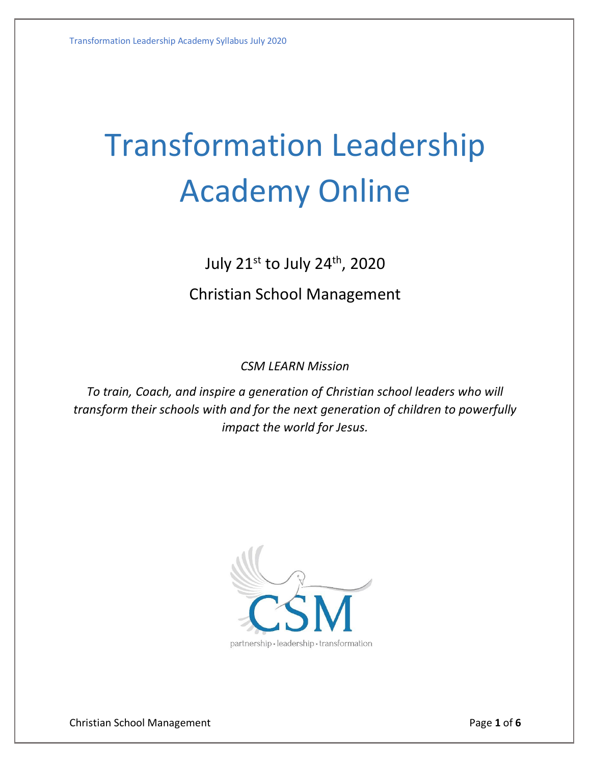# Transformation Leadership Academy Online

July 21st to July 24 th, 2020

# Christian School Management

*CSM LEARN Mission*

*To train, Coach, and inspire a generation of Christian school leaders who will transform their schools with and for the next generation of children to powerfully impact the world for Jesus.*



Christian School Management **Page 1** of **6** of **6**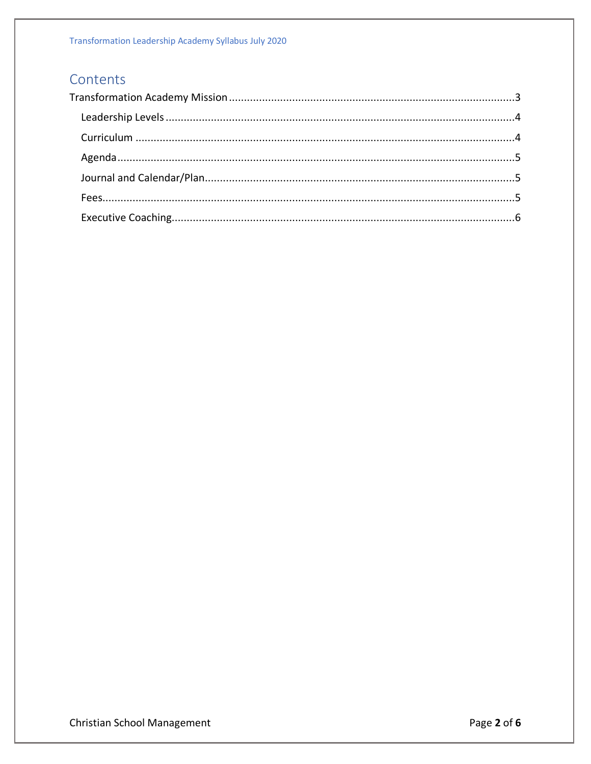# Contents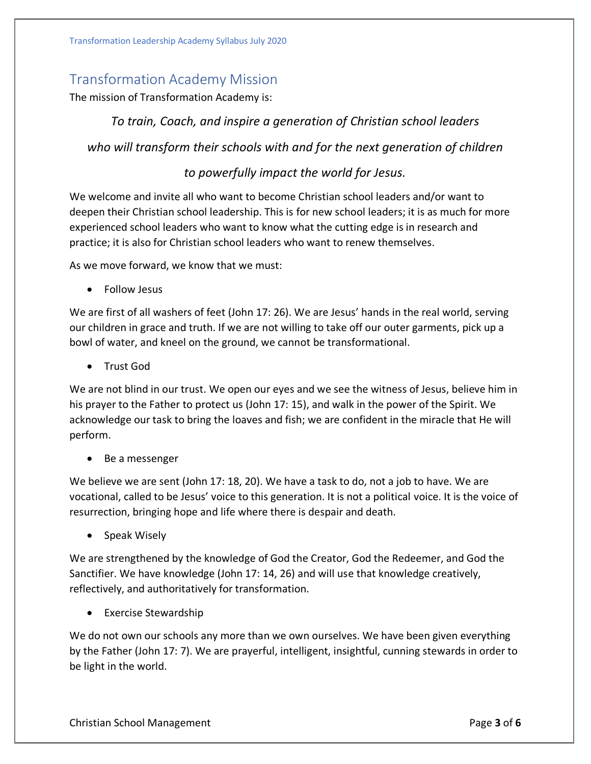# <span id="page-2-0"></span>Transformation Academy Mission

The mission of Transformation Academy is:

*To train, Coach, and inspire a generation of Christian school leaders who will transform their schools with and for the next generation of children* 

# *to powerfully impact the world for Jesus.*

We welcome and invite all who want to become Christian school leaders and/or want to deepen their Christian school leadership. This is for new school leaders; it is as much for more experienced school leaders who want to know what the cutting edge is in research and practice; it is also for Christian school leaders who want to renew themselves.

As we move forward, we know that we must:

• Follow Jesus

We are first of all washers of feet (John 17: 26). We are Jesus' hands in the real world, serving our children in grace and truth. If we are not willing to take off our outer garments, pick up a bowl of water, and kneel on the ground, we cannot be transformational.

• Trust God

We are not blind in our trust. We open our eyes and we see the witness of Jesus, believe him in his prayer to the Father to protect us (John 17: 15), and walk in the power of the Spirit. We acknowledge our task to bring the loaves and fish; we are confident in the miracle that He will perform.

• Be a messenger

We believe we are sent (John 17: 18, 20). We have a task to do, not a job to have. We are vocational, called to be Jesus' voice to this generation. It is not a political voice. It is the voice of resurrection, bringing hope and life where there is despair and death.

• Speak Wisely

We are strengthened by the knowledge of God the Creator, God the Redeemer, and God the Sanctifier. We have knowledge (John 17: 14, 26) and will use that knowledge creatively, reflectively, and authoritatively for transformation.

• Exercise Stewardship

We do not own our schools any more than we own ourselves. We have been given everything by the Father (John 17: 7). We are prayerful, intelligent, insightful, cunning stewards in order to be light in the world.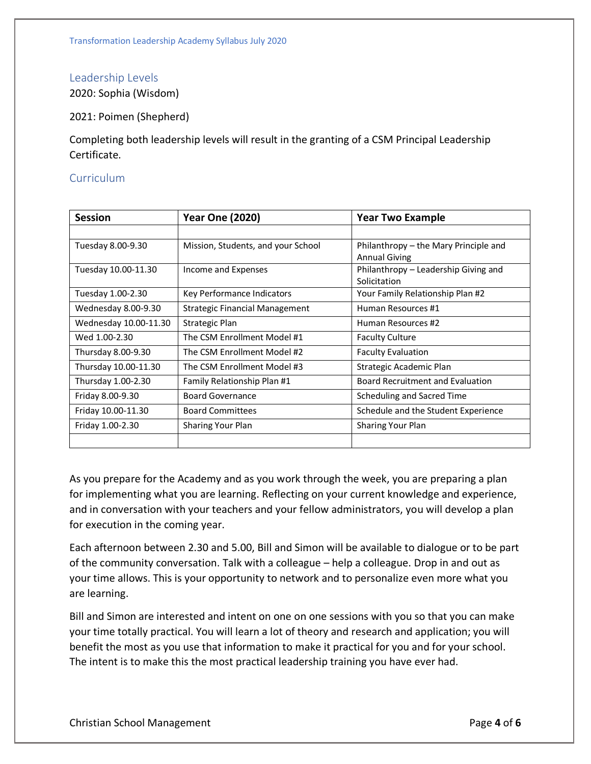## <span id="page-3-0"></span>Leadership Levels

2020: Sophia (Wisdom)

2021: Poimen (Shepherd)

Completing both leadership levels will result in the granting of a CSM Principal Leadership Certificate.

## <span id="page-3-1"></span>Curriculum

| <b>Session</b>        | <b>Year One (2020)</b>             | <b>Year Two Example</b>               |
|-----------------------|------------------------------------|---------------------------------------|
|                       |                                    |                                       |
| Tuesday 8.00-9.30     | Mission, Students, and your School | Philanthropy - the Mary Principle and |
|                       |                                    | <b>Annual Giving</b>                  |
| Tuesday 10.00-11.30   | Income and Expenses                | Philanthropy – Leadership Giving and  |
|                       |                                    | Solicitation                          |
| Tuesday 1.00-2.30     | Key Performance Indicators         | Your Family Relationship Plan #2      |
| Wednesday 8.00-9.30   | Strategic Financial Management     | Human Resources #1                    |
| Wednesday 10.00-11.30 | Strategic Plan                     | Human Resources #2                    |
| Wed 1.00-2.30         | The CSM Enrollment Model #1        | <b>Faculty Culture</b>                |
| Thursday 8.00-9.30    | The CSM Enrollment Model #2        | <b>Faculty Evaluation</b>             |
| Thursday 10.00-11.30  | The CSM Enrollment Model #3        | Strategic Academic Plan               |
| Thursday 1.00-2.30    | Family Relationship Plan #1        | Board Recruitment and Evaluation      |
| Friday 8.00-9.30      | <b>Board Governance</b>            | Scheduling and Sacred Time            |
| Friday 10.00-11.30    | <b>Board Committees</b>            | Schedule and the Student Experience   |
| Friday 1.00-2.30      | <b>Sharing Your Plan</b>           | <b>Sharing Your Plan</b>              |
|                       |                                    |                                       |

As you prepare for the Academy and as you work through the week, you are preparing a plan for implementing what you are learning. Reflecting on your current knowledge and experience, and in conversation with your teachers and your fellow administrators, you will develop a plan for execution in the coming year.

Each afternoon between 2.30 and 5.00, Bill and Simon will be available to dialogue or to be part of the community conversation. Talk with a colleague – help a colleague. Drop in and out as your time allows. This is your opportunity to network and to personalize even more what you are learning.

Bill and Simon are interested and intent on one on one sessions with you so that you can make your time totally practical. You will learn a lot of theory and research and application; you will benefit the most as you use that information to make it practical for you and for your school. The intent is to make this the most practical leadership training you have ever had.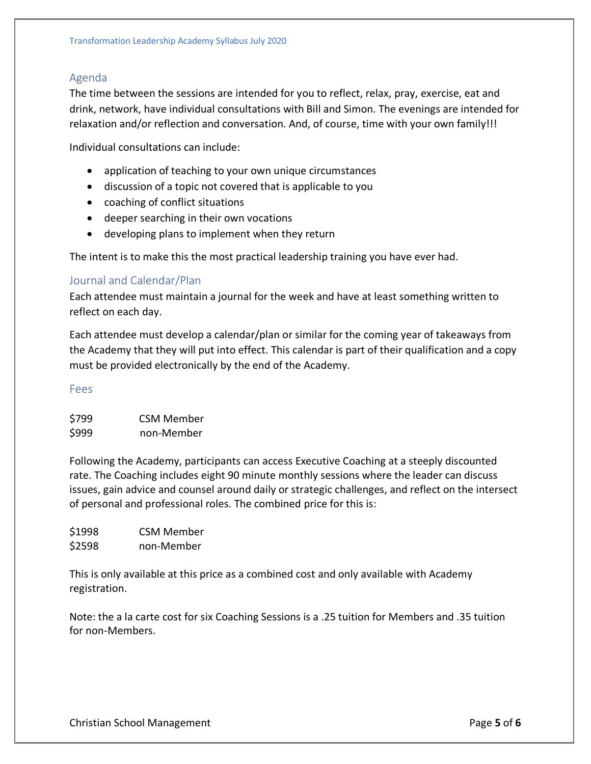## <span id="page-4-0"></span>Agenda

The time between the sessions are intended for you to reflect, relax, pray, exercise, eat and drink, network, have individual consultations with Bill and Simon. The evenings are intended for relaxation and/or reflection and conversation. And, of course, time with your own family!!!

Individual consultations can include:

- application of teaching to your own unique circumstances
- discussion of a topic not covered that is applicable to you
- coaching of conflict situations
- deeper searching in their own vocations
- developing plans to implement when they return

The intent is to make this the most practical leadership training you have ever had.

### <span id="page-4-1"></span>Journal and Calendar/Plan

Each attendee must maintain a journal for the week and have at least something written to reflect on each day.

Each attendee must develop a calendar/plan or similar for the coming year of takeaways from the Academy that they will put into effect. This calendar is part of their qualification and a copy must be provided electronically by the end of the Academy.

#### <span id="page-4-2"></span>Fees

| \$799 | <b>CSM Member</b> |
|-------|-------------------|
| \$999 | non-Member        |

Following the Academy, participants can access Executive Coaching at a steeply discounted rate. The Coaching includes eight 90 minute monthly sessions where the leader can discuss issues, gain advice and counsel around daily or strategic challenges, and reflect on the intersect of personal and professional roles. The combined price for this is:

\$1998 CSM Member \$2598 non-Member

This is only available at this price as a combined cost and only available with Academy registration.

Note: the a la carte cost for six Coaching Sessions is a .25 tuition for Members and .35 tuition for non-Members.